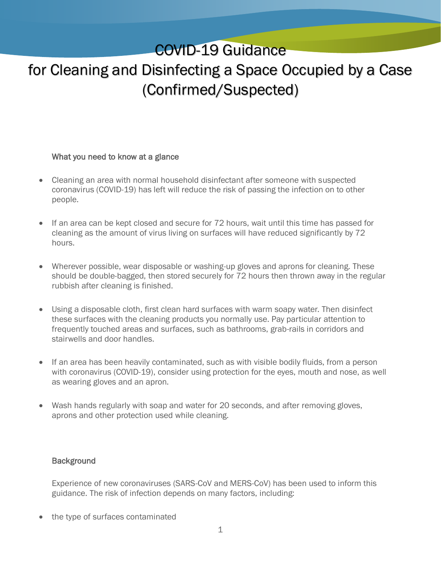# COVID-19 Guidance for Cleaning and Disinfecting a Space Occupied by a Case (Confirmed/Suspected)

## What you need to know at a glance

- Cleaning an area with normal household disinfectant after someone with suspected coronavirus (COVID-19) has left will reduce the risk of passing the infection on to other people.
- If an area can be kept closed and secure for 72 hours, wait until this time has passed for cleaning as the amount of virus living on surfaces will have reduced significantly by 72 hours.
- Wherever possible, wear disposable or washing-up gloves and aprons for cleaning. These should be double-bagged, then stored securely for 72 hours then thrown away in the regular rubbish after cleaning is finished.
- Using a disposable cloth, first clean hard surfaces with warm soapy water. Then disinfect these surfaces with the cleaning products you normally use. Pay particular attention to frequently touched areas and surfaces, such as bathrooms, grab-rails in corridors and stairwells and door handles.
- If an area has been heavily contaminated, such as with visible bodily fluids, from a person with coronavirus (COVID-19), consider using protection for the eyes, mouth and nose, as well as wearing gloves and an apron.
- Wash hands regularly with soap and water for 20 seconds, and after removing gloves, aprons and other protection used while cleaning.

## **Background**

Experience of new coronaviruses (SARS-CoV and MERS-CoV) has been used to inform this guidance. The risk of infection depends on many factors, including:

• the type of surfaces contaminated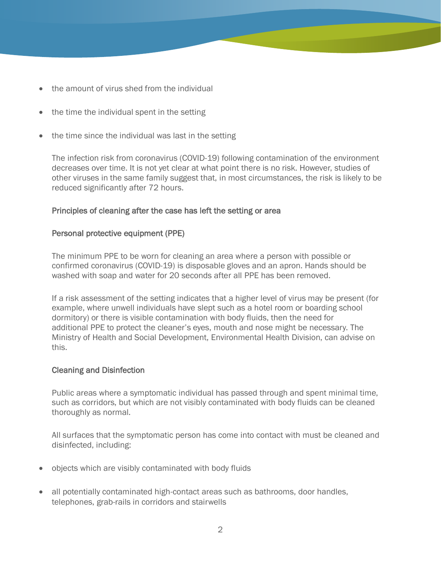- the amount of virus shed from the individual
- the time the individual spent in the setting
- the time since the individual was last in the setting

The infection risk from coronavirus (COVID-19) following contamination of the environment decreases over time. It is not yet clear at what point there is no risk. However, studies of other viruses in the same family suggest that, in most circumstances, the risk is likely to be reduced significantly after 72 hours.

### Principles of cleaning after the case has left the setting or area

#### Personal protective equipment (PPE)

The minimum PPE to be worn for cleaning an area where a person with possible or confirmed coronavirus (COVID-19) is disposable gloves and an apron. Hands should be washed with soap and water for 20 seconds after all PPE has been removed.

If a risk assessment of the setting indicates that a higher level of virus may be present (for example, where unwell individuals have slept such as a hotel room or boarding school dormitory) or there is visible contamination with body fluids, then the need for additional PPE to protect the cleaner's eyes, mouth and nose might be necessary. The Ministry of Health and Social Development, Environmental Health Division, can advise on this.

#### Cleaning and Disinfection

Public areas where a symptomatic individual has passed through and spent minimal time, such as corridors, but which are not visibly contaminated with body fluids can be cleaned thoroughly as normal.

All surfaces that the symptomatic person has come into contact with must be cleaned and disinfected, including:

- objects which are visibly contaminated with body fluids
- all potentially contaminated high-contact areas such as bathrooms, door handles, telephones, grab-rails in corridors and stairwells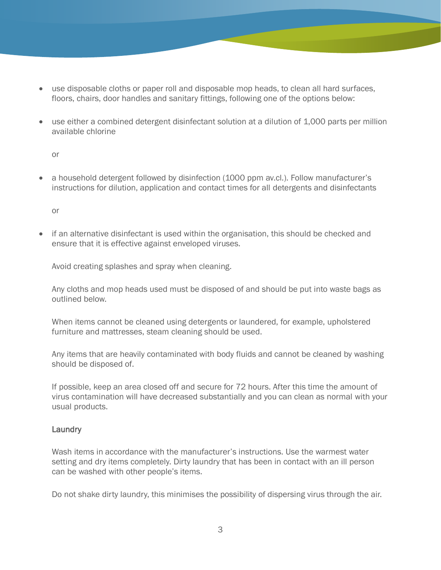- use disposable cloths or paper roll and disposable mop heads, to clean all hard surfaces, floors, chairs, door handles and sanitary fittings, following one of the options below:
- use either a combined detergent disinfectant solution at a dilution of 1,000 parts per million available chlorine

or

• a household detergent followed by disinfection (1000 ppm av.cl.). Follow manufacturer's instructions for dilution, application and contact times for all detergents and disinfectants

or

• if an alternative disinfectant is used within the organisation, this should be checked and ensure that it is effective against enveloped viruses.

Avoid creating splashes and spray when cleaning.

Any cloths and mop heads used must be disposed of and should be put into waste bags as outlined below.

When items cannot be cleaned using detergents or laundered, for example, upholstered furniture and mattresses, steam cleaning should be used.

Any items that are heavily contaminated with body fluids and cannot be cleaned by washing should be disposed of.

If possible, keep an area closed off and secure for 72 hours. After this time the amount of virus contamination will have decreased substantially and you can clean as normal with your usual products.

## **Laundry**

Wash items in accordance with the manufacturer's instructions. Use the warmest water setting and dry items completely. Dirty laundry that has been in contact with an ill person can be washed with other people's items.

Do not shake dirty laundry, this minimises the possibility of dispersing virus through the air.